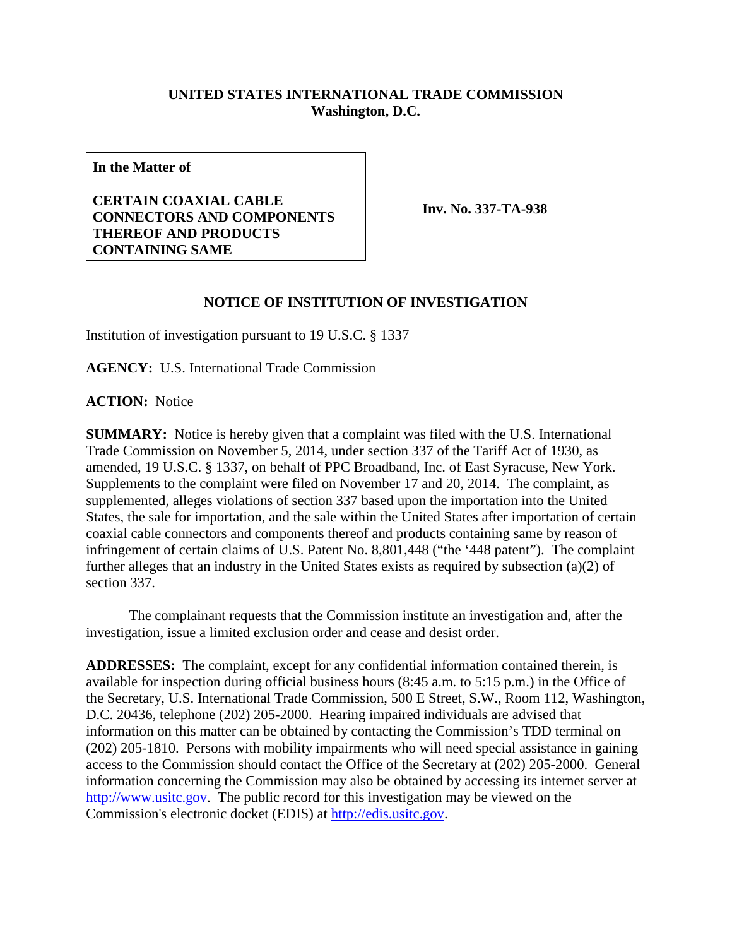## **UNITED STATES INTERNATIONAL TRADE COMMISSION Washington, D.C.**

**In the Matter of**

## **CERTAIN COAXIAL CABLE CONNECTORS AND COMPONENTS THEREOF AND PRODUCTS CONTAINING SAME**

**Inv. No. 337-TA-938**

## **NOTICE OF INSTITUTION OF INVESTIGATION**

Institution of investigation pursuant to 19 U.S.C. § 1337

**AGENCY:** U.S. International Trade Commission

**ACTION:** Notice

**SUMMARY:** Notice is hereby given that a complaint was filed with the U.S. International Trade Commission on November 5, 2014, under section 337 of the Tariff Act of 1930, as amended, 19 U.S.C. § 1337, on behalf of PPC Broadband, Inc. of East Syracuse, New York. Supplements to the complaint were filed on November 17 and 20, 2014. The complaint, as supplemented, alleges violations of section 337 based upon the importation into the United States, the sale for importation, and the sale within the United States after importation of certain coaxial cable connectors and components thereof and products containing same by reason of infringement of certain claims of U.S. Patent No. 8,801,448 ("the '448 patent"). The complaint further alleges that an industry in the United States exists as required by subsection (a)(2) of section 337.

The complainant requests that the Commission institute an investigation and, after the investigation, issue a limited exclusion order and cease and desist order.

**ADDRESSES:** The complaint, except for any confidential information contained therein, is available for inspection during official business hours (8:45 a.m. to 5:15 p.m.) in the Office of the Secretary, U.S. International Trade Commission, 500 E Street, S.W., Room 112, Washington, D.C. 20436, telephone (202) 205-2000. Hearing impaired individuals are advised that information on this matter can be obtained by contacting the Commission's TDD terminal on (202) 205-1810. Persons with mobility impairments who will need special assistance in gaining access to the Commission should contact the Office of the Secretary at (202) 205-2000. General information concerning the Commission may also be obtained by accessing its internet server at [http://www.usitc.gov.](http://www.usitc.gov/) The public record for this investigation may be viewed on the Commission's electronic docket (EDIS) at [http://edis.usitc.gov.](http://edis.usitc.gov/)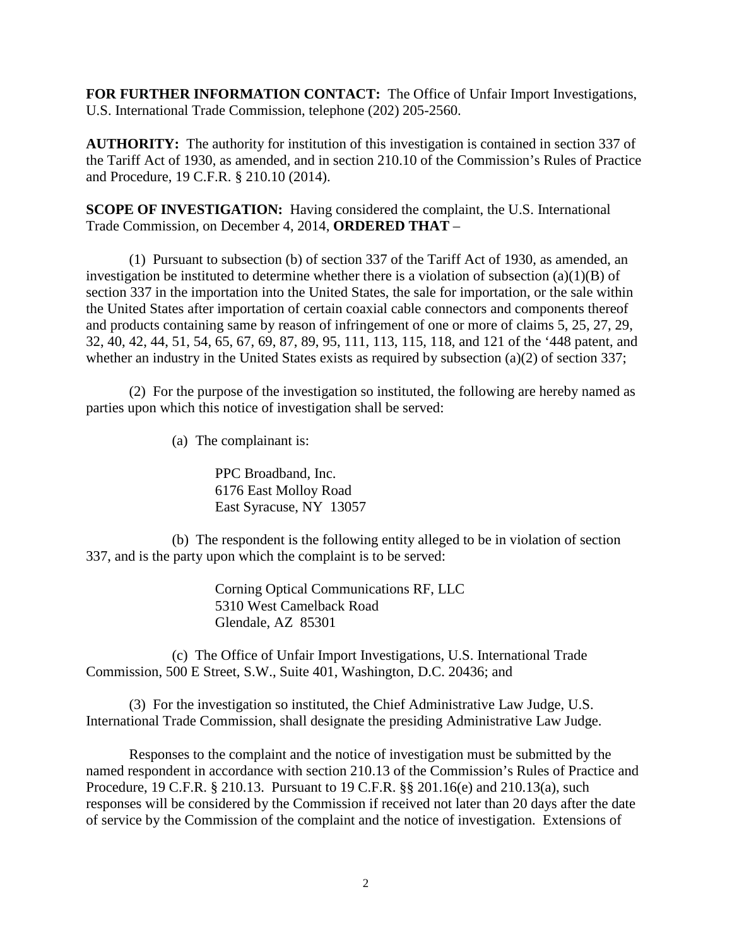**FOR FURTHER INFORMATION CONTACT:** The Office of Unfair Import Investigations, U.S. International Trade Commission, telephone (202) 205-2560.

**AUTHORITY:** The authority for institution of this investigation is contained in section 337 of the Tariff Act of 1930, as amended, and in section 210.10 of the Commission's Rules of Practice and Procedure, 19 C.F.R. § 210.10 (2014).

**SCOPE OF INVESTIGATION:** Having considered the complaint, the U.S. International Trade Commission, on December 4, 2014, **ORDERED THAT** –

(1) Pursuant to subsection (b) of section 337 of the Tariff Act of 1930, as amended, an investigation be instituted to determine whether there is a violation of subsection (a)(1)(B) of section 337 in the importation into the United States, the sale for importation, or the sale within the United States after importation of certain coaxial cable connectors and components thereof and products containing same by reason of infringement of one or more of claims 5, 25, 27, 29, 32, 40, 42, 44, 51, 54, 65, 67, 69, 87, 89, 95, 111, 113, 115, 118, and 121 of the '448 patent, and whether an industry in the United States exists as required by subsection (a)(2) of section 337;

(2) For the purpose of the investigation so instituted, the following are hereby named as parties upon which this notice of investigation shall be served:

(a) The complainant is:

PPC Broadband, Inc. 6176 East Molloy Road East Syracuse, NY 13057

(b) The respondent is the following entity alleged to be in violation of section 337, and is the party upon which the complaint is to be served:

> Corning Optical Communications RF, LLC 5310 West Camelback Road Glendale, AZ 85301

(c) The Office of Unfair Import Investigations, U.S. International Trade Commission, 500 E Street, S.W., Suite 401, Washington, D.C. 20436; and

(3) For the investigation so instituted, the Chief Administrative Law Judge, U.S. International Trade Commission, shall designate the presiding Administrative Law Judge.

Responses to the complaint and the notice of investigation must be submitted by the named respondent in accordance with section 210.13 of the Commission's Rules of Practice and Procedure, 19 C.F.R. § 210.13. Pursuant to 19 C.F.R. §§ 201.16(e) and 210.13(a), such responses will be considered by the Commission if received not later than 20 days after the date of service by the Commission of the complaint and the notice of investigation. Extensions of